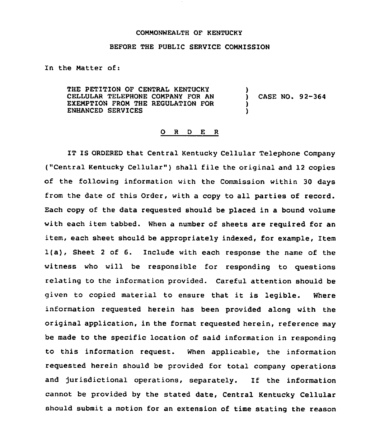## COMMONWEALTH OF KENTUCKY

## BEFORE THE PUBLIC SERVICE COMMISSION

In the Matter of:

THE PETITION OF CENTRAL KENTUCKY CELLULAR TELEPHONE CONPANY FOR AN EXEMPTION FROM THE REGULATION FOR ENHANCED SERVICES ) ) CASE NO <sup>~</sup> 92-364 ) )

## 0 <sup>R</sup> <sup>D</sup> E <sup>R</sup>

IT IS ORDERED that Central Kentucky Cellular Telephone Company ("Central Kentucky Cellular" ) shall file the original and <sup>12</sup> copies of the following information with the Commission within 30 days from the date of this Order, with a copy to all parties of record. Each copy of the data requested should be placed in a bound volume with each item tabbed. When a number of sheets are required for an item, each sheet should be appropriately indexed, for example, Item 1(a), Sheet <sup>2</sup> of 6. Include with each response the name of the witness who will be responsible for responding to questions relating to the information provided. Careful attention should be given to copied material to ensure that it is legible. Where information requested herein has been provided along with the original application, in the format requested herein, reference may be made to the specific location of said information in responding to this information request. When applicable, the information requested herein should be provided for total company operations and jurisdictional operations, separately. If the information cannot be provided by the stated date, Central Kentucky Cellular should submit a motion for an extension of time stating the reason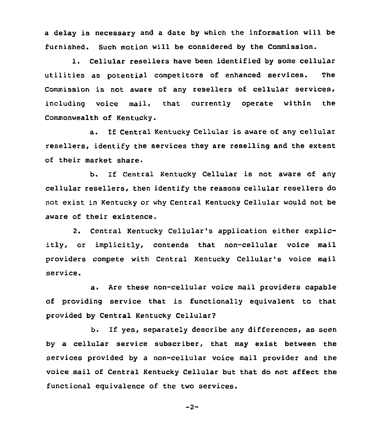a delay is necessary and a date by which the information will be furnished. Such motion will be considered by the Commission.

1. Cellular resellers have been identified by some cellular utilities as potential competitors of enhanced services. The Commission is not aware of any resellers of cellular services, including voice mail, that currently operate within the Commonwealth of Kentucky'.

If Central Kentucky Cellular is aware of any cellular  $\mathbf{a}$ . resellers, identify the services they are reselling and the extent of their market

If Central Kentucky Cellular is not aware of any cellular resellers, then identify the reasons cellular resellers do not exist in Kentucky or why Central Kentucky Cellular would not be aware of their existence.

2. Central Kentucky Cellular's application either explicitly, or implicitly, contends that non-cellular voice mail providers compete with Central Kentucky Cellular's voice mail service.

a. Are these non-cellular voice mail providers capable of providing service that is functionally equivalent to that provided by Central Kentucky Cellular2

b. If yes, separately describe any differences, as seen by a cellular service subscriber, that may exist between the services provided by a non-cellular voice mail provider and the voice mail of Central Kentucky Cellular but that do not affect the functional equivalence of the two services.

$$
-2-
$$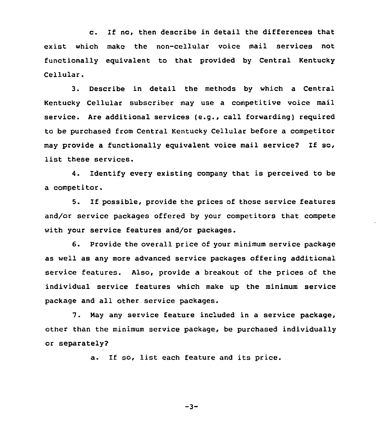c. If no, then describe in detail the differences that exist which make the non-cellular voice mail services not functionally equivalent to that provided by Central Kentucky Cellular.

3. Describe in detail the methods by which a Central Kentucky Cellular subscriber may use a competitive voice mail service. Are additional services (e.g., call forwarding) required to be purchased from Central Kentucky Cellular before a competitor may provide <sup>a</sup> functionally equivalent voice mail service2 If so, list these services.

4. Identify every existing company that is perceived to be a competitor.

5. If possible, provide the prices of those service features and/or service packages offered by your competitors that compete with your service features and/or packages.

6. Provide the overall price of your minimum service package as well as any more advanced service packages offering additional service features. Also, provide a breakout of the prices of the individual service features which make up the minimum service package and all other service packages.

7. Nay any service feature included in a service package, other than the minimum service package, be purchased individually or separately?

a. If so, list each feature and its price.

$$
-3-
$$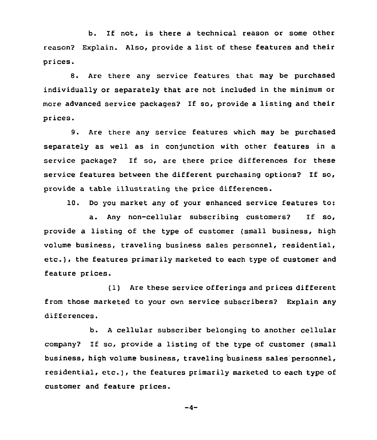b. If not, is there a technical reason or some other reason? Explain. Also, provide <sup>a</sup> list of these features and their prices.

8. Are there any service features that may be purchased individually or separately that are not included in the minimum or more advanced service packages? If so, provide a listing and their prices.

9. Are there any service features which may be purchased separately as well as in conjunction with other features in a service package? If so, are there price differences for these service features between the different purchasing options? If so, provide a table illustrating the price differences.

10. Do you market any of your enhanced service features to:

a. Any non-cellular subscribing customers? If so, provide a listing of the type of customer (small business, high volume business, traveling business sales personnel, residential, etc.), the features primarily marketed to each type of customer and feature prices.

(1) Are these service offerings and prices different from those marketed to your own service subscribers? Explain any differences.

b. <sup>A</sup> cellular subscriber belonging to another cellular company? If so, provide a listing of the type of customer (small business, high volume business, traveling business sales personnel, residential, etc.), the features primarily marketed to each type of customer and feature prices.

 $-4-$